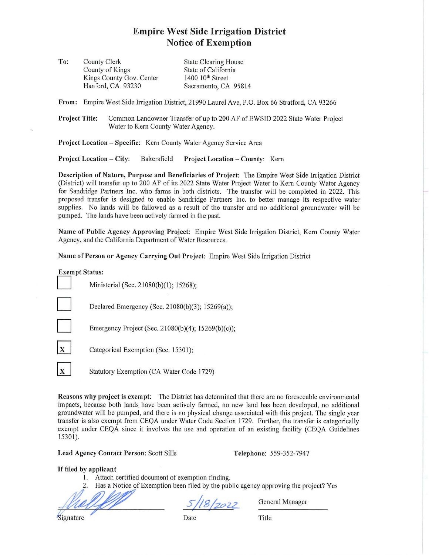## **Empire West Side Irrigation District Notice of Exemption**

**To:**  County Clerk County of Kings Kings County Gov. Center Hanford, CA 93230 State Clearing House State of California 1400 10<sup>th</sup> Street Sacramento, CA 95814

**From:** Empire West Side Irrigation District, 2 1990 Laurel Ave, P.O. Box 66 Stratford, CA 93266

**Project Title:** Common Landowner Transfer of up to 200 AF of EWSID 2022 State Water Project Water to Kern County Water Agency.

**Project Location** - **Specific:** Kern County Water Agency Service Area

**Project Location** - **City:** Bakersfield **Project Location** - **County:** Kern

Description of Nature, Purpose and Beneficiaries of Project: The Empire West Side Irrigation District (District) will transfer up to 200 AF of its 2022 State Water Project Water to Kern County Water Agency for Sandridge Partners lnc. who farms in both districts. The transfer will be completed in 2022. This proposed transfer is designed to enable Sandridge Partners Inc. to better manage its respective water supplies. No lands will be fallowed as a result of the transfer and no additional groundwater will be pumped. The lands have been actively farmed in the past.

**Name of Public Agency Approving Project:** Empire West Side Irrigation District, Kern County Water Agency, and the California Department of Water Resources.

**Name of Person or Agency Carrying Out Project:** Empire West Side Irrigation District

**Exempt Status:**<br>Ministerial (Sec. 21080(b)(1); 15268); Declared Emergency (Sec. 21080(b)(3); 15269(a)); Emergency Project (Sec. 21080(b)(4); 15269(b)(c)); Categorical Exemption (Sec. 15301);

X | Statutory Exemption (CA Water Code 1729)

Reasons why project is exempt: The District has determined that there are no foreseeable environmental impacts, because both lands have been actively fanned, no new land has been developed, no additional groundwater will be pumped, and there is no physical change associated with this project. The single year transfer is also exempt from CEQA under Water Code Section 1729. Further, the transfer is categorically exempt under CEQA since it involves the use and operation of an existing facility (CEQA Guidelines 15301).

**Lead Agency Contact Person:** Scott Sills **Telephone:** 559-352-7947

## If **filed by applicant**

- I. Attach certified document of exemption finding.
- **~:~::~::::::oject? Yes**

If filed by applicant<br>
1. Attach certified document of exemption finding.<br>
2. Has a Notice of Exemption been filed by the public agency application of Exemption been filed by the public agency application of the public se *I*<br>Signature Date Title